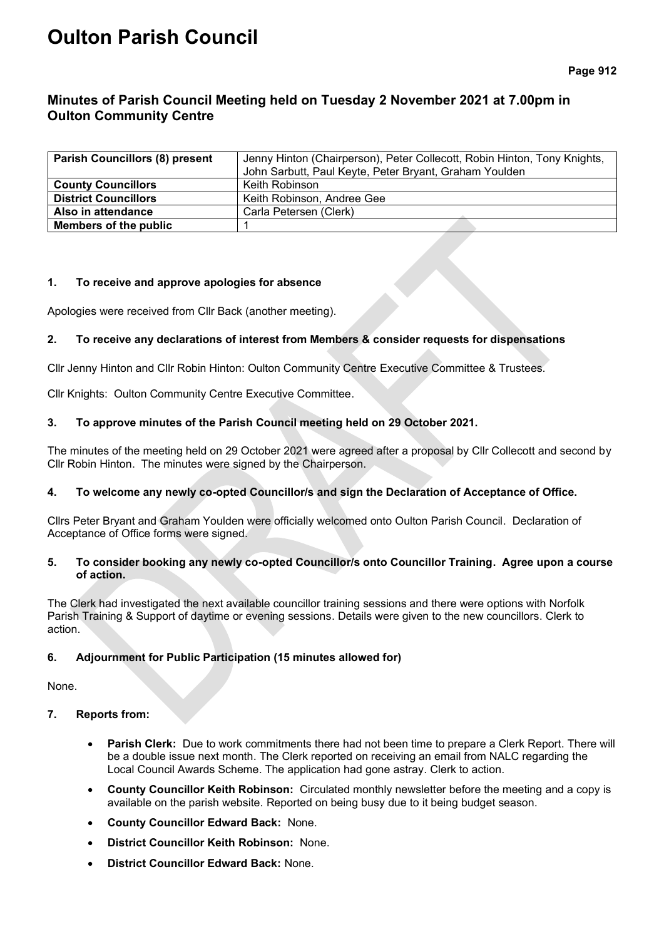# **Oulton Parish Council**

## **Minutes of Parish Council Meeting held on Tuesday 2 November 2021 at 7.00pm in Oulton Community Centre**

| <b>Parish Councillors (8) present</b> | Jenny Hinton (Chairperson), Peter Collecott, Robin Hinton, Tony Knights, |  |  |
|---------------------------------------|--------------------------------------------------------------------------|--|--|
|                                       | John Sarbutt, Paul Keyte, Peter Bryant, Graham Youlden                   |  |  |
| <b>County Councillors</b>             | Keith Robinson                                                           |  |  |
| <b>District Councillors</b>           | Keith Robinson, Andree Gee                                               |  |  |
| Also in attendance                    | Carla Petersen (Clerk)                                                   |  |  |
| Members of the public                 |                                                                          |  |  |

#### **1. To receive and approve apologies for absence**

Apologies were received from Cllr Back (another meeting).

## **2. To receive any declarations of interest from Members & consider requests for dispensations**

Cllr Jenny Hinton and Cllr Robin Hinton: Oulton Community Centre Executive Committee & Trustees.

Cllr Knights: Oulton Community Centre Executive Committee.

## **3. To approve minutes of the Parish Council meeting held on 29 October 2021.**

The minutes of the meeting held on 29 October 2021 were agreed after a proposal by Cllr Collecott and second by Cllr Robin Hinton. The minutes were signed by the Chairperson.

## **4. To welcome any newly co-opted Councillor/s and sign the Declaration of Acceptance of Office.**

Cllrs Peter Bryant and Graham Youlden were officially welcomed onto Oulton Parish Council. Declaration of Acceptance of Office forms were signed.

#### **5. To consider booking any newly co-opted Councillor/s onto Councillor Training. Agree upon a course of action.**

The Clerk had investigated the next available councillor training sessions and there were options with Norfolk Parish Training & Support of daytime or evening sessions. Details were given to the new councillors. Clerk to action.

## **6. Adjournment for Public Participation (15 minutes allowed for)**

None.

## **7. Reports from:**

- **Parish Clerk:** Due to work commitments there had not been time to prepare a Clerk Report. There will be a double issue next month. The Clerk reported on receiving an email from NALC regarding the Local Council Awards Scheme. The application had gone astray. Clerk to action.
- **County Councillor Keith Robinson:** Circulated monthly newsletter before the meeting and a copy is available on the parish website. Reported on being busy due to it being budget season.
- **County Councillor Edward Back:** None.
- **District Councillor Keith Robinson:** None.
- **District Councillor Edward Back:** None.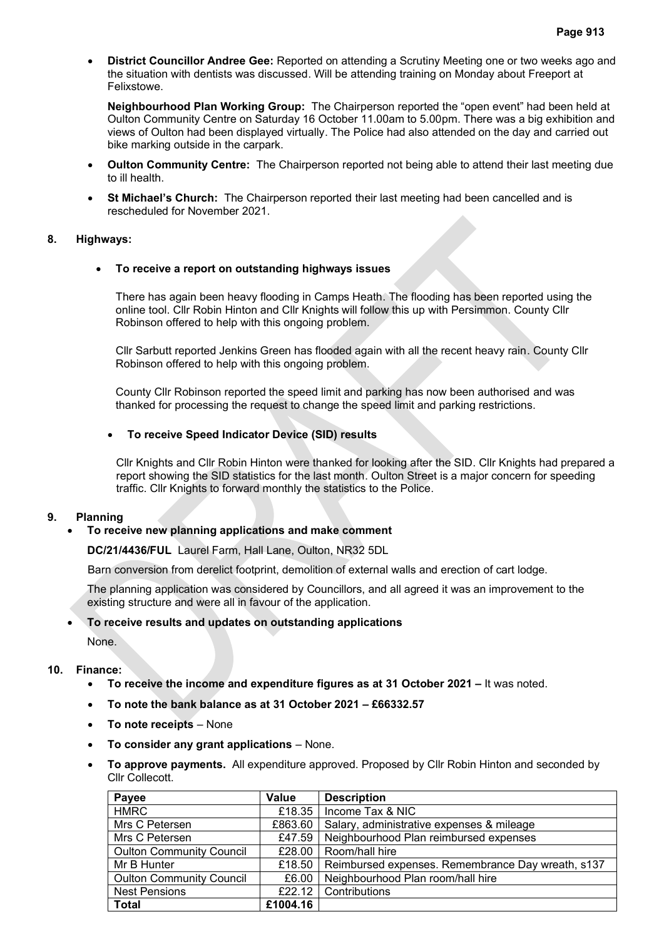• **District Councillor Andree Gee:** Reported on attending a Scrutiny Meeting one or two weeks ago and the situation with dentists was discussed. Will be attending training on Monday about Freeport at Felixstowe.

**Neighbourhood Plan Working Group:** The Chairperson reported the "open event" had been held at Oulton Community Centre on Saturday 16 October 11.00am to 5.00pm. There was a big exhibition and views of Oulton had been displayed virtually. The Police had also attended on the day and carried out bike marking outside in the carpark.

- **Oulton Community Centre:** The Chairperson reported not being able to attend their last meeting due to ill health.
- **St Michael's Church:** The Chairperson reported their last meeting had been cancelled and is rescheduled for November 2021.

#### **8. Highways:**

#### • **To receive a report on outstanding highways issues**

There has again been heavy flooding in Camps Heath. The flooding has been reported using the online tool. Cllr Robin Hinton and Cllr Knights will follow this up with Persimmon. County Cllr Robinson offered to help with this ongoing problem.

Cllr Sarbutt reported Jenkins Green has flooded again with all the recent heavy rain. County Cllr Robinson offered to help with this ongoing problem.

County Cllr Robinson reported the speed limit and parking has now been authorised and was thanked for processing the request to change the speed limit and parking restrictions.

#### • **To receive Speed Indicator Device (SID) results**

Cllr Knights and Cllr Robin Hinton were thanked for looking after the SID. Cllr Knights had prepared a report showing the SID statistics for the last month. Oulton Street is a major concern for speeding traffic. Cllr Knights to forward monthly the statistics to the Police.

#### **9. Planning**

#### • **To receive new planning applications and make comment**

**DC/21/4436/FUL** Laurel Farm, Hall Lane, Oulton, NR32 5DL

Barn conversion from derelict footprint, demolition of external walls and erection of cart lodge.

The planning application was considered by Councillors, and all agreed it was an improvement to the existing structure and were all in favour of the application.

#### • **To receive results and updates on outstanding applications**

None.

## **10. Finance:**

- **To receive the income and expenditure figures as at 31 October 2021 –** It was noted.
- **To note the bank balance as at 31 October 2021 – £66332.57**
- **To note receipts** None
- **To consider any grant applications**  None.
- **To approve payments.** All expenditure approved. Proposed by Cllr Robin Hinton and seconded by Cllr Collecott.

| Payee                           | <b>Value</b> | <b>Description</b>                                         |
|---------------------------------|--------------|------------------------------------------------------------|
| <b>HMRC</b>                     | £18.35       | Income Tax & NIC                                           |
| Mrs C Petersen                  | £863.60      | Salary, administrative expenses & mileage                  |
| Mrs C Petersen                  | £47.59       | Neighbourhood Plan reimbursed expenses                     |
| <b>Oulton Community Council</b> | £28.00       | Room/hall hire                                             |
| Mr B Hunter                     |              | £18.50   Reimbursed expenses. Remembrance Day wreath, s137 |
| <b>Oulton Community Council</b> | £6.00        | Neighbourhood Plan room/hall hire                          |
| <b>Nest Pensions</b>            | £22.12       | Contributions                                              |
| <b>Total</b>                    | £1004.16     |                                                            |